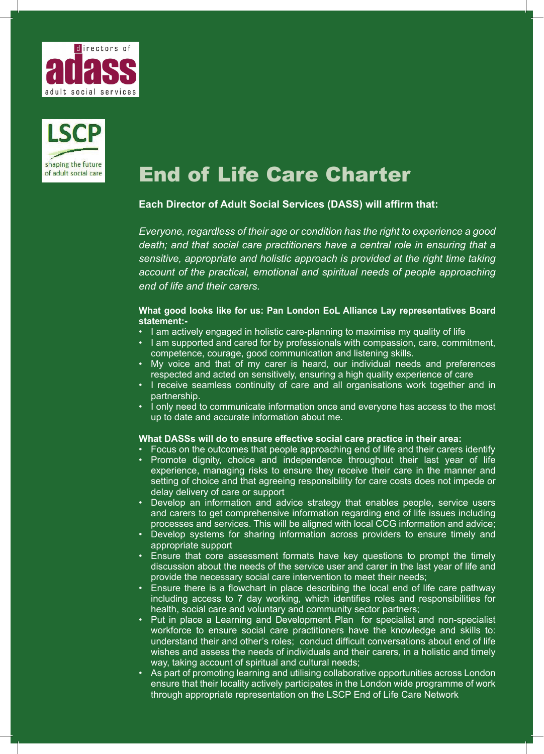



# End of Life Care Charter

## **Each Director of Adult Social Services (DASS) will affirm that:**

*Everyone, regardless of their age or condition has the right to experience a good death; and that social care practitioners have a central role in ensuring that a sensitive, appropriate and holistic approach is provided at the right time taking*  account of the practical, emotional and spiritual needs of people approaching *end of life and their carers.* 

#### **What good looks like for us: Pan London EoL Alliance Lay representatives Board statement:-**

- I am actively engaged in holistic care-planning to maximise my quality of life
- I am supported and cared for by professionals with compassion, care, commitment, competence, courage, good communication and listening skills.
- My voice and that of my carer is heard, our individual needs and preferences respected and acted on sensitively, ensuring a high quality experience of care
- I receive seamless continuity of care and all organisations work together and in partnership.
- I only need to communicate information once and everyone has access to the most up to date and accurate information about me.

## **What DASSs will do to ensure effective social care practice in their area:**

- Focus on the outcomes that people approaching end of life and their carers identify
- Promote dignity, choice and independence throughout their last year of life experience, managing risks to ensure they receive their care in the manner and setting of choice and that agreeing responsibility for care costs does not impede or delay delivery of care or support
- Develop an information and advice strategy that enables people, service users and carers to get comprehensive information regarding end of life issues including processes and services. This will be aligned with local CCG information and advice;
- Develop systems for sharing information across providers to ensure timely and appropriate support
- Ensure that core assessment formats have key questions to prompt the timely discussion about the needs of the service user and carer in the last year of life and provide the necessary social care intervention to meet their needs;
- Ensure there is a flowchart in place describing the local end of life care pathway including access to 7 day working, which identifies roles and responsibilities for health, social care and voluntary and community sector partners;
- Put in place a Learning and Development Plan for specialist and non-specialist workforce to ensure social care practitioners have the knowledge and skills to: understand their and other's roles; conduct difficult conversations about end of life wishes and assess the needs of individuals and their carers, in a holistic and timely way, taking account of spiritual and cultural needs;
- As part of promoting learning and utilising collaborative opportunities across London ensure that their locality actively participates in the London wide programme of work through appropriate representation on the LSCP End of Life Care Network